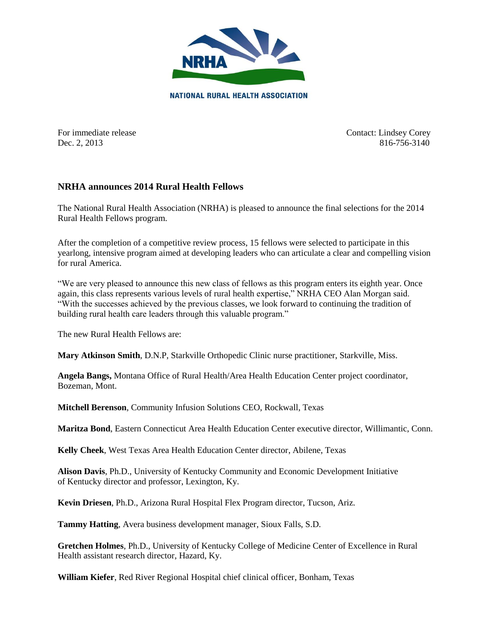

For immediate release Contact: Lindsey Corey Dec. 2, 2013 816-756-3140

## **NRHA announces 2014 Rural Health Fellows**

The National Rural Health Association (NRHA) is pleased to announce the final selections for the 2014 Rural Health Fellows program.

After the completion of a competitive review process, 15 fellows were selected to participate in this yearlong, intensive program aimed at developing leaders who can articulate a clear and compelling vision for rural America.

"We are very pleased to announce this new class of fellows as this program enters its eighth year. Once again, this class represents various levels of rural health expertise," NRHA CEO Alan Morgan said. "With the successes achieved by the previous classes, we look forward to continuing the tradition of building rural health care leaders through this valuable program."

The new Rural Health Fellows are:

**Mary Atkinson Smith**, D.N.P, Starkville Orthopedic Clinic nurse practitioner, Starkville, Miss.

**Angela Bangs,** Montana Office of Rural Health/Area Health Education Center project coordinator, Bozeman, Mont.

**Mitchell Berenson**, Community Infusion Solutions CEO, Rockwall, Texas

**Maritza Bond**, Eastern Connecticut Area Health Education Center executive director, Willimantic, Conn.

**Kelly Cheek**, West Texas Area Health Education Center director, Abilene, Texas

**Alison Davis**, Ph.D., University of Kentucky [Community and Economic Development Initiative](http://cedik.ca.uky.edu/)  of [Kentucky](http://cedik.ca.uky.edu/) director and professor, Lexington, Ky.

**Kevin Driesen**, Ph.D., Arizona Rural Hospital Flex Program director, Tucson, Ariz.

**Tammy Hatting**, Avera business development manager, Sioux Falls, S.D.

**Gretchen Holmes**, Ph.D., University of Kentucky College of Medicine Center of Excellence in Rural Health assistant research director, Hazard, Ky.

**William Kiefer**, Red River Regional Hospital chief clinical officer, Bonham, Texas